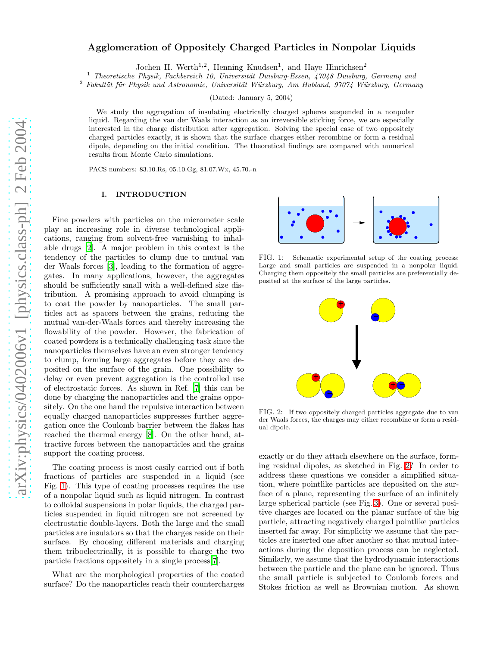# Agglomeration of Oppositely Charged Particles in Nonpolar Liquids

Jochen H. Werth<sup>1,2</sup>, Henning Knudsen<sup>1</sup>, and Haye Hinrichsen<sup>2</sup>

 $1$  Theoretische Physik, Fachbereich 10, Universität Duisburg-Essen, 47048 Duisburg, Germany and

 $2$  Fakultät für Physik und Astronomie, Universität Würzburg, Am Hubland, 97074 Würzburg, Germany

(Dated: January 5, 2004)

We study the aggregation of insulating electrically charged spheres suspended in a nonpolar liquid. Regarding the van der Waals interaction as an irreversible sticking force, we are especially interested in the charge distribution after aggregation. Solving the special case of two oppositely charged particles exactly, it is shown that the surface charges either recombine or form a residual dipole, depending on the initial condition. The theoretical findings are compared with numerical results from Monte Carlo simulations.

PACS numbers: 83.10.Rs, 05.10.Gg, 81.07.Wx, 45.70.-n

### I. INTRODUCTION

Fine powders with particles on the micrometer scale play an increasing role in diverse technological applications, ranging from solvent-free varnishing to inhalable drugs [\[2\]](#page-8-0). A major problem in this context is the tendency of the particles to clump due to mutual van der Waals forces [\[3\]](#page-8-1), leading to the formation of aggregates. In many applications, however, the aggregates should be sufficiently small with a well-defined size distribution. A promising approach to avoid clumping is to coat the powder by nanoparticles. The small particles act as spacers between the grains, reducing the mutual van-der-Waals forces and thereby increasing the flowability of the powder. However, the fabrication of coated powders is a technically challenging task since the nanoparticles themselves have an even stronger tendency to clump, forming large aggregates before they are deposited on the surface of the grain. One possibility to delay or even prevent aggregation is the controlled use of electrostatic forces. As shown in Ref. [\[7](#page-8-2)] this can be done by charging the nanoparticles and the grains oppositely. On the one hand the repulsive interaction between equally charged nanoparticles suppresses further aggregation once the Coulomb barrier between the flakes has reached the thermal energy [\[8\]](#page-8-3). On the other hand, attractive forces between the nanoparticles and the grains support the coating process.

The coating process is most easily carried out if both fractions of particles are suspended in a liquid (see Fig. [1\)](#page-0-0). This type of coating processes requires the use of a nonpolar liquid such as liquid nitrogen. In contrast to colloidal suspensions in polar liquids, the charged particles suspended in liquid nitrogen are not screened by electrostatic double-layers. Both the large and the small particles are insulators so that the charges reside on their surface. By choosing different materials and charging them triboelectrically, it is possible to charge the two particle fractions oppositely in a single process[\[7](#page-8-2)].

What are the morphological properties of the coated surface? Do the nanoparticles reach their countercharges



<span id="page-0-0"></span>FIG. 1: Schematic experimental setup of the coating process: Large and small particles are suspended in a nonpolar liquid. Charging them oppositely the small particles are preferentially deposited at the surface of the large particles.



<span id="page-0-1"></span>FIG. 2: If two oppositely charged particles aggregate due to van der Waals forces, the charges may either recombine or form a residual dipole.

exactly or do they attach elsewhere on the surface, forming residual dipoles, as sketched in Fig. [2?](#page-0-1) In order to address these questions we consider a simplified situation, where pointlike particles are deposited on the surface of a plane, representing the surface of an infinitely large spherical particle (see Fig. [3\)](#page-1-0). One or several positive charges are located on the planar surface of the big particle, attracting negatively charged pointlike particles inserted far away. For simplicity we assume that the particles are inserted one after another so that mutual interactions during the deposition process can be neglected. Similarly, we assume that the hydrodynamic interactions between the particle and the plane can be ignored. Thus the small particle is subjected to Coulomb forces and Stokes friction as well as Brownian motion. As shown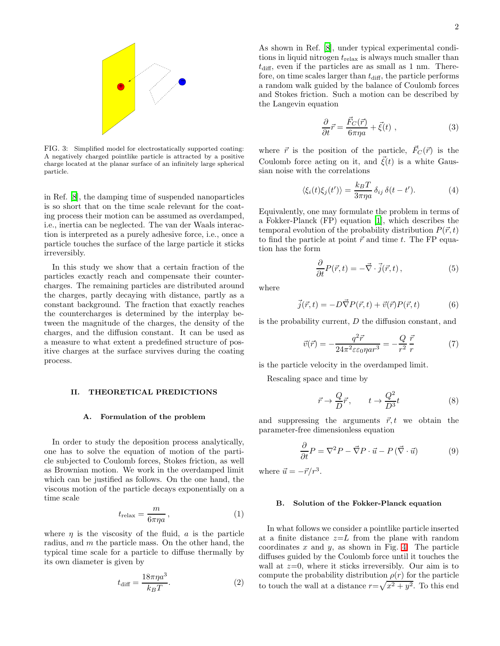

<span id="page-1-0"></span>FIG. 3: Simplified model for electrostatically supported coating: A negatively charged pointlike particle is attracted by a positive charge located at the planar surface of an infinitely large spherical particle.

in Ref. [\[8\]](#page-8-3), the damping time of suspended nanoparticles is so short that on the time scale relevant for the coating process their motion can be assumed as overdamped, i.e., inertia can be neglected. The van der Waals interaction is interpreted as a purely adhesive force, i.e., once a particle touches the surface of the large particle it sticks irreversibly.

In this study we show that a certain fraction of the particles exactly reach and compensate their countercharges. The remaining particles are distributed around the charges, partly decaying with distance, partly as a constant background. The fraction that exactly reaches the countercharges is determined by the interplay between the magnitude of the charges, the density of the charges, and the diffusion constant. It can be used as a measure to what extent a predefined structure of positive charges at the surface survives during the coating process.

#### II. THEORETICAL PREDICTIONS

### A. Formulation of the problem

In order to study the deposition process analytically, one has to solve the equation of motion of the particle subjected to Coulomb forces, Stokes friction, as well as Brownian motion. We work in the overdamped limit which can be justified as follows. On the one hand, the viscous motion of the particle decays exponentially on a time scale

$$
t_{\rm relax} = \frac{m}{6\pi\eta a},\tag{1}
$$

where  $\eta$  is the viscosity of the fluid, a is the particle radius, and m the particle mass. On the other hand, the typical time scale for a particle to diffuse thermally by its own diameter is given by

$$
t_{\text{diff}} = \frac{18\pi\eta a^3}{k_B T}.
$$
 (2)

As shown in Ref. [\[8](#page-8-3)], under typical experimental conditions in liquid nitrogen  $t_{relax}$  is always much smaller than  $t_{\text{diff}}$ , even if the particles are as small as 1 nm. Therefore, on time scales larger than  $t_{\text{diff}}$ , the particle performs a random walk guided by the balance of Coulomb forces and Stokes friction. Such a motion can be described by the Langevin equation

<span id="page-1-1"></span>
$$
\frac{\partial}{\partial t}\vec{r} = \frac{\vec{F}_C(\vec{r})}{6\pi\eta a} + \vec{\xi}(t) , \qquad (3)
$$

where  $\vec{r}$  is the position of the particle,  $\vec{F}_C(\vec{r})$  is the Coulomb force acting on it, and  $\vec{\xi}(t)$  is a white Gaussian noise with the correlations

$$
\langle \xi_i(t)\xi_j(t')\rangle = \frac{k_B T}{3\pi \eta a} \,\delta_{ij} \,\delta(t-t'). \tag{4}
$$

Equivalently, one may formulate the problem in terms of a Fokker-Planck (FP) equation [\[1](#page-8-4)], which describes the temporal evolution of the probability distribution  $P(\vec{r}, t)$ to find the particle at point  $\vec{r}$  and time t. The FP equation has the form

$$
\frac{\partial}{\partial t}P(\vec{r},t) = -\vec{\nabla}\cdot\vec{j}(\vec{r},t)\,,\tag{5}
$$

where

$$
\vec{j}(\vec{r},t) = -D\vec{\nabla}P(\vec{r},t) + \vec{v}(\vec{r})P(\vec{r},t)
$$
(6)

is the probability current,  $D$  the diffusion constant, and

$$
\vec{v}(\vec{r}) = -\frac{q^2\vec{r}}{24\pi^2 \varepsilon \varepsilon_0 \eta a r^3} = -\frac{Q}{r^2} \frac{\vec{r}}{r}
$$
(7)

is the particle velocity in the overdamped limit.

Rescaling space and time by

<span id="page-1-2"></span>
$$
\vec{r} \to \frac{Q}{D} \vec{r}, \qquad t \to \frac{Q^2}{D^3} t \tag{8}
$$

and suppressing the arguments  $\vec{r}, t$  we obtain the parameter-free dimensionless equation

$$
\frac{\partial}{\partial t}P = \nabla^2 P - \vec{\nabla}P \cdot \vec{u} - P(\vec{\nabla} \cdot \vec{u})\tag{9}
$$

<span id="page-1-3"></span>where  $\vec{u} = -\vec{r}/r^3$ .

### B. Solution of the Fokker-Planck equation

In what follows we consider a pointlike particle inserted at a finite distance  $z=L$  from the plane with random coordinates  $x$  and  $y$ , as shown in Fig. [4.](#page-2-0) The particle diffuses guided by the Coulomb force until it touches the wall at  $z=0$ , where it sticks irreversibly. Our aim is to compute the probability distribution  $\rho(r)$  for the particle to touch the wall at a distance  $r = \sqrt{x^2 + y^2}$ . To this end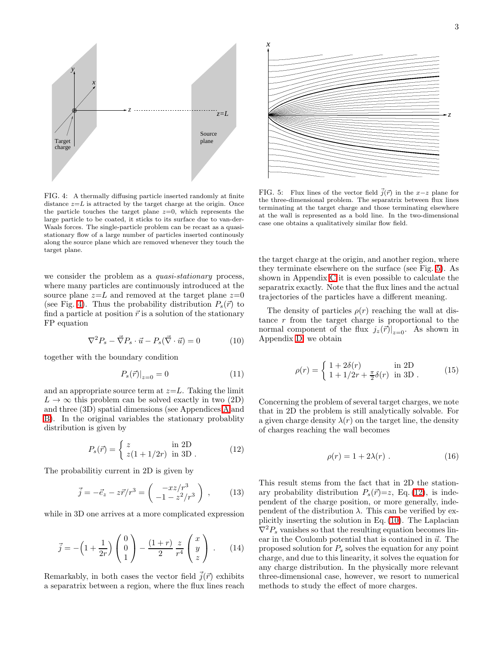

<span id="page-2-0"></span>FIG. 4: A thermally diffusing particle inserted randomly at finite distance  $z=L$  is attracted by the target charge at the origin. Once the particle touches the target plane  $z=0$ , which represents the large particle to be coated, it sticks to its surface due to van-der-Waals forces. The single-particle problem can be recast as a quasistationary flow of a large number of particles inserted continously along the source plane which are removed whenever they touch the target plane.

<span id="page-2-3"></span>we consider the problem as a *quasi-stationary* process, where many particles are continuously introduced at the source plane  $z=L$  and removed at the target plane  $z=0$ (see Fig. [4\)](#page-2-0). Thus the probability distribution  $P_s(\vec{r})$  to find a particle at position  $\vec{r}$  is a solution of the stationary FP equation

$$
\nabla^2 P_s - \vec{\nabla} P_s \cdot \vec{u} - P_s(\vec{\nabla} \cdot \vec{u}) = 0 \tag{10}
$$

together with the boundary condition

$$
P_s(\vec{r})|_{z=0} = 0 \tag{11}
$$

and an appropriate source term at  $z=L$ . Taking the limit  $L \to \infty$  this problem can be solved exactly in two (2D) and three (3D) spatial dimensions (see Appendices [A](#page-6-0) and [B\)](#page-7-0). In the original variables the stationary probablity distribution is given by

<span id="page-2-2"></span>
$$
P_s(\vec{r}) = \begin{cases} z & \text{in } 2\text{D} \\ z(1 + 1/2r) & \text{in } 3\text{D} \end{cases}
$$
 (12)

The probabilitiy current in 2D is given by

$$
\vec{j} = -\vec{e}_z - z\vec{r}/r^3 = \begin{pmatrix} -xz/r^3 \\ -1 - z^2/r^3 \end{pmatrix} , \qquad (13)
$$

while in 3D one arrives at a more complicated expression

$$
\vec{j} = -\left(1 + \frac{1}{2r}\right) \begin{pmatrix} 0\\0\\1 \end{pmatrix} - \frac{(1+r)}{2} \frac{z}{r^4} \begin{pmatrix} x\\y\\z \end{pmatrix} . \tag{14}
$$

Remarkably, in both cases the vector field  $\vec{j}(\vec{r})$  exhibits a separatrix between a region, where the flux lines reach



<span id="page-2-1"></span>FIG. 5: Flux lines of the vector field  $\vec{j}(\vec{r})$  in the x-z plane for the three-dimensional problem. The separatrix between flux lines terminating at the target charge and those terminating elsewhere at the wall is represented as a bold line. In the two-dimensional case one obtains a qualitatively similar flow field.

the target charge at the origin, and another region, where they terminate elsewhere on the surface (see Fig. [5\)](#page-2-1). As shown in Appendix [C](#page-7-1) it is even possible to calculate the separatrix exactly. Note that the flux lines and the actual trajectories of the particles have a different meaning.

<span id="page-2-4"></span>The density of particles  $\rho(r)$  reaching the wall at distance r from the target charge is proportional to the normal component of the flux  $j_z(\vec{r})|_{z=0}$ . As shown in Appendix [D,](#page-7-2) we obtain

$$
\rho(r) = \begin{cases} 1 + 2\delta(r) & \text{in } 2D \\ 1 + 1/2r + \frac{\pi}{2}\delta(r) & \text{in } 3D \end{cases} (15)
$$

Concerning the problem of several target charges, we note that in 2D the problem is still analytically solvable. For a given charge density  $\lambda(r)$  on the target line, the density of charges reaching the wall becomes

$$
\rho(r) = 1 + 2\lambda(r) \tag{16}
$$

This result stems from the fact that in 2D the stationary probability distribution  $P_s(\vec{r})=z$ , Eq. [\(12\)](#page-2-2), is independent of the charge position, or more generally, independent of the distribution  $\lambda$ . This can be verified by explicitly inserting the solution in Eq. [\(10\)](#page-2-3). The Laplacian  $\nabla^2 P_s$  vanishes so that the resulting equation becomes linear in the Coulomb potential that is contained in  $\vec{u}$ . The proposed solution for  $P<sub>s</sub>$  solves the equation for any point charge, and due to this linearity, it solves the equation for any charge distribution. In the physically more relevant three-dimensional case, however, we resort to numerical methods to study the effect of more charges.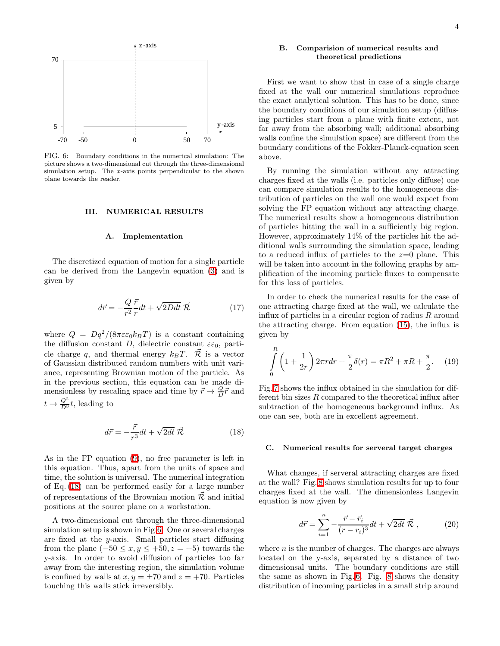

<span id="page-3-1"></span>FIG. 6: Boundary conditions in the numerical simulation: The picture shows a two-dimensional cut through the three-dimensional simulation setup. The x-axis points perpendicular to the shown plane towards the reader.

### III. NUMERICAL RESULTS

#### A. Implementation

The discretized equation of motion for a single particle can be derived from the Langevin equation [\(3\)](#page-1-1) and is given by

$$
d\vec{r} = -\frac{Q}{r^2}\frac{\vec{r}}{r}dt + \sqrt{2Ddt}\ \vec{\mathcal{R}} \tag{17}
$$

where  $Q = Dq^2/(8\pi\varepsilon\varepsilon_0 k_BT)$  is a constant containing the diffusion constant D, dielectric constant  $\varepsilon \varepsilon_0$ , particle charge q, and thermal energy  $k_BT$ .  $\overrightarrow{\mathcal{R}}$  is a vector of Gaussian distributed random numbers with unit variance, representing Brownian motion of the particle. As in the previous section, this equation can be made dimensionless by rescaling space and time by  $\vec{r} \rightarrow \frac{Q}{D} \vec{r}$  and  $t \to \frac{Q^2}{D^3}t$ , leading to

<span id="page-3-0"></span>
$$
d\vec{r} = -\frac{\vec{r}}{r^3}dt + \sqrt{2dt}\,\vec{\mathcal{R}}\tag{18}
$$

As in the FP equation [\(9\)](#page-1-2), no free parameter is left in this equation. Thus, apart from the units of space and time, the solution is universal. The numerical integration of Eq. [\(18\)](#page-3-0) can be performed easily for a large number of representations of the Brownian motion  $\vec{\mathcal{R}}$  and initial positions at the source plane on a workstation.

A two-dimensional cut through the three-dimensional simulation setup is shown in Fig[.6.](#page-3-1) One or several charges are fixed at the  $y$ -axis. Small particles start diffusing from the plane  $(-50 \le x, y \le 30, z = 5)$  towards the y-axis. In order to avoid diffusion of particles too far away from the interesting region, the simulation volume is confined by walls at  $x, y = \pm 70$  and  $z = +70$ . Particles touching this walls stick irreversibly.

### B. Comparision of numerical results and theoretical predictions

First we want to show that in case of a single charge fixed at the wall our numerical simulations reproduce the exact analytical solution. This has to be done, since the boundary conditions of our simulation setup (diffusing particles start from a plane with finite extent, not far away from the absorbing wall; additional absorbing walls confine the simulation space) are different from the boundary conditions of the Fokker-Planck-equation seen above.

By running the simulation without any attracting charges fixed at the walls (i.e. particles only diffuse) one can compare simulation results to the homogeneous distribution of particles on the wall one would expect from solving the FP equation without any attracting charge. The numerical results show a homogeneous distribution of particles hitting the wall in a sufficiently big region. However, approximately 14% of the particles hit the additional walls surrounding the simulation space, leading to a reduced influx of particles to the  $z=0$  plane. This will be taken into account in the following graphs by amplification of the incoming particle fluxes to compensate for this loss of particles.

In order to check the numerical results for the case of one attracting charge fixed at the wall, we calculate the influx of particles in a circular region of radius  $R$  around the attracting charge. From equation [\(15\)](#page-2-4), the influx is given by

$$
\int_{0}^{R} \left(1 + \frac{1}{2r}\right) 2\pi r dr + \frac{\pi}{2}\delta(r) = \pi R^{2} + \pi R + \frac{\pi}{2}.
$$
 (19)

Fig. [7](#page-4-0) shows the influx obtained in the simulation for different bin sizes  $R$  compared to the theoretical influx after subtraction of the homogeneous background influx. As one can see, both are in excellent agreement.

### C. Numerical results for serveral target charges

What changes, if serveral attracting charges are fixed at the wall? Fig. [8](#page-4-1) shows simulation results for up to four charges fixed at the wall. The dimensionless Langevin equation is now given by

$$
d\vec{r} = \sum_{i=1}^{n} -\frac{\vec{r} - \vec{r}_i}{(r - r_i)^3} dt + \sqrt{2dt} \ \vec{\mathcal{R}} \ , \tag{20}
$$

where  $n$  is the number of charges. The charges are always located on the y-axis, separated by a distance of two dimensionsal units. The boundary conditions are still the same as shown in Fig. [6.](#page-3-1) Fig. [8](#page-4-1) shows the density distribution of incoming particles in a small strip around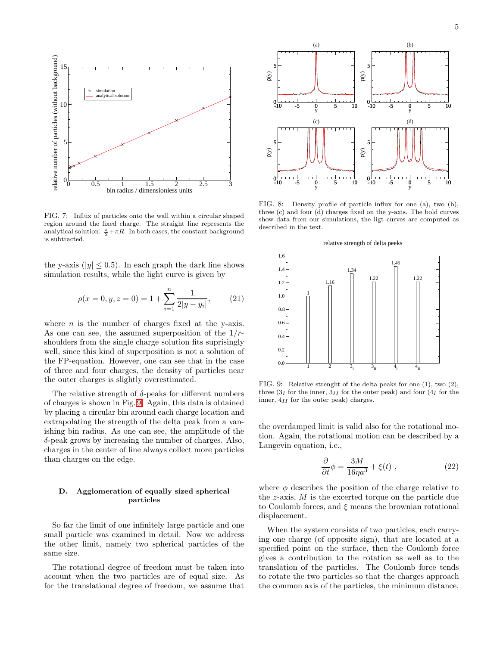

<span id="page-4-0"></span>FIG. 7: Influx of particles onto the wall within a circular shaped region around the fixed charge. The straight line represents the analytical solution:  $\frac{\pi}{2} + \pi R$ . In both cases, the constant background is subtracted.

the y-axis ( $|y| \leq 0.5$ ). In each graph the dark line shows simulation results, while the light curve is given by

$$
\rho(x = 0, y, z = 0) = 1 + \sum_{i=1}^{n} \frac{1}{2|y - y_i|},
$$
 (21)

where  $n$  is the number of charges fixed at the y-axis. As one can see, the assumed superposition of the  $1/r$ shoulders from the single charge solution fits suprisingly well, since this kind of superposition is not a solution of the FP-equation. However, one can see that in the case of three and four charges, the density of particles near the outer charges is slightly overestimated.

The relative strength of  $\delta$ -peaks for different numbers of charges is shown in Fig. [9.](#page-4-2) Again, this data is obtained by placing a circular bin around each charge location and extrapolating the strength of the delta peak from a vanishing bin radius. As one can see, the amplitude of the δ-peak grows by increasing the number of charges. Also, charges in the center of line always collect more particles than charges on the edge.

### D. Agglomeration of equally sized spherical particles

So far the limit of one infinitely large particle and one small particle was examined in detail. Now we address the other limit, namely two spherical particles of the same size.

The rotational degree of freedom must be taken into account when the two particles are of equal size. As for the translational degree of freedom, we assume that



<span id="page-4-1"></span>FIG. 8: Density profile of particle influx for one (a), two (b), three (c) and four (d) charges fixed on the y-axis. The bold curves show data from our simulations, the ligt curves are computed as described in the text.





<span id="page-4-2"></span>FIG. 9: Relative strenght of the delta peaks for one (1), two (2), three  $(3<sub>I</sub>$  for the inner,  $3<sub>II</sub>$  for the outer peak) and four  $(4<sub>I</sub>$  for the inner,  $4_{II}$  for the outer peak) charges.

the overdamped limit is valid also for the rotational motion. Again, the rotational motion can be described by a Langevin equation, i.e.,

$$
\frac{\partial}{\partial t}\phi = \frac{3M}{16\eta a^3} + \xi(t) , \qquad (22)
$$

where  $\phi$  describes the position of the charge relative to the  $z$ -axis,  $M$  is the excerted torque on the particle due to Coulomb forces, and  $\xi$  means the brownian rotational displacement.

When the system consists of two particles, each carrying one charge (of opposite sign), that are located at a specified point on the surface, then the Coulomb force gives a contribution to the rotation as well as to the translation of the particles. The Coulomb force tends to rotate the two particles so that the charges approach the common axis of the particles, the minimum distance.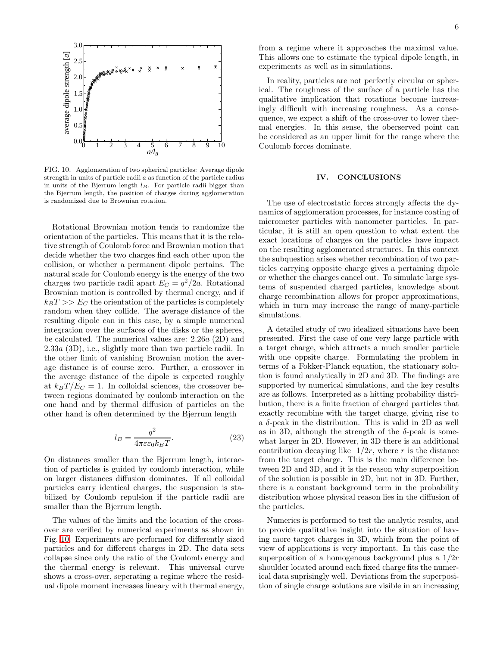

<span id="page-5-0"></span>FIG. 10: Agglomeration of two spherical particles: Average dipole strength in units of particle radii a as function of the particle radius in units of the Bjerrum length  $l_B$ . For particle radii bigger than the Bjerrum length, the position of charges during agglomeration is randomized due to Brownian rotation.

Rotational Brownian motion tends to randomize the orientation of the particles. This means that it is the relative strength of Coulomb force and Brownian motion that decide whether the two charges find each other upon the collision, or whether a permanent dipole pertains. The natural scale for Coulomb energy is the energy of the two charges two particle radii apart  $E_C = q^2/2a$ . Rotational Brownian motion is controlled by thermal energy, and if  $k_BT >> E_C$  the orientation of the particles is completely random when they collide. The average distance of the resulting dipole can in this case, by a simple numerical integration over the surfaces of the disks or the spheres, be calculated. The numerical values are: 2.26a (2D) and 2.33a (3D), i.e., slightly more than two particle radii. In the other limit of vanishing Brownian motion the average distance is of course zero. Further, a crossover in the average distance of the dipole is expected roughly at  $k_BT/E_C = 1$ . In colloidal sciences, the crossover between regions dominated by coulomb interaction on the one hand and by thermal diffusion of particles on the other hand is often determined by the Bjerrum length

$$
l_B = \frac{q^2}{4\pi\varepsilon\varepsilon_0 k_B T}.\tag{23}
$$

On distances smaller than the Bjerrum length, interaction of particles is guided by coulomb interaction, while on larger distances diffusion dominates. If all colloidal particles carry identical charges, the suspension is stabilized by Coulomb repulsion if the particle radii are smaller than the Bjerrum length.

The values of the limits and the location of the crossover are verified by numerical experiments as shown in Fig. [10.](#page-5-0) Experiments are performed for differently sized particles and for different charges in 2D. The data sets collapse since only the ratio of the Coulomb energy and the thermal energy is relevant. This universal curve shows a cross-over, seperating a regime where the residual dipole moment increases lineary with thermal energy,

from a regime where it approaches the maximal value. This allows one to estimate the typical dipole length, in experiments as well as in simulations.

In reality, particles are not perfectly circular or spherical. The roughness of the surface of a particle has the qualitative implication that rotations become increasingly difficult with increasing roughness. As a consequence, we expect a shift of the cross-over to lower thermal energies. In this sense, the oberserved point can be considered as an upper limit for the range where the Coulomb forces dominate.

### IV. CONCLUSIONS

The use of electrostatic forces strongly affects the dynamics of agglomeration processes, for instance coating of micrometer particles with nanometer particles. In particular, it is still an open question to what extent the exact locations of charges on the particles have impact on the resulting agglomerated structures. In this context the subquestion arises whether recombination of two particles carrying opposite charge gives a pertaining dipole or whether the charges cancel out. To simulate large systems of suspended charged particles, knowledge about charge recombination allows for proper approximations, which in turn may increase the range of many-particle simulations.

A detailed study of two idealized situations have been presented. First the case of one very large particle with a target charge, which attracts a much smaller particle with one oppsite charge. Formulating the problem in terms of a Fokker-Planck equation, the stationary solution is found analytically in 2D and 3D. The findings are supported by numerical simulations, and the key results are as follows. Interpreted as a hitting probability distribution, there is a finite fraction of charged particles that exactly recombine with the target charge, giving rise to a  $\delta$ -peak in the distribution. This is valid in 2D as well as in 3D, although the strength of the  $\delta$ -peak is somewhat larger in 2D. However, in 3D there is an additional contribution decaying like  $1/2r$ , where r is the distance from the target charge. This is the main difference between 2D and 3D, and it is the reason why superposition of the solution is possible in 2D, but not in 3D. Further, there is a constant background term in the probability distribution whose physical reason lies in the diffusion of the particles.

Numerics is performed to test the analytic results, and to provide qualitative insight into the situation of having more target charges in 3D, which from the point of view of applications is very important. In this case the superposition of a homogenous background plus a 1/2r shoulder located around each fixed charge fits the numerical data suprisingly well. Deviations from the superposition of single charge solutions are visible in an increasing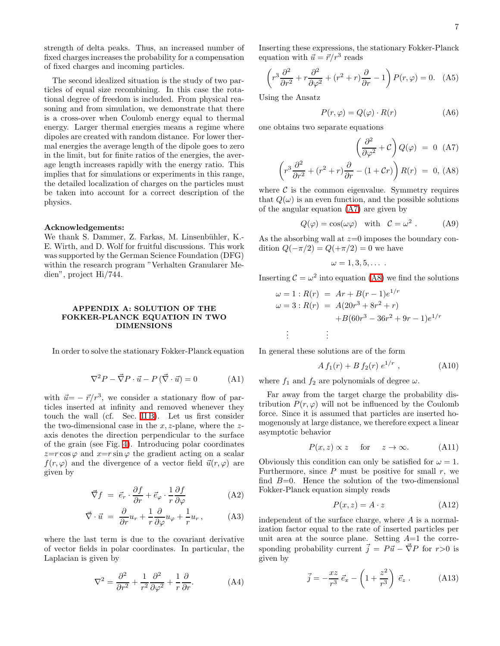strength of delta peaks. Thus, an increased number of fixed charges increases the probability for a compensation of fixed charges and incoming particles.

The second idealized situation is the study of two particles of equal size recombining. In this case the rotational degree of freedom is included. From physical reasoning and from simulation, we demonstrate that there is a cross-over when Coulomb energy equal to thermal energy. Larger thermal energies means a regime where dipoles are created with random distance. For lower thermal energies the average length of the dipole goes to zero in the limit, but for finite ratios of the energies, the average length increases rapidly with the energy ratio. This implies that for simulations or experiments in this range, the detailed localization of charges on the particles must be taken into account for a correct description of the physics.

#### Acknowledgements:

We thank S. Dammer, Z. Farkas, M. Linsenbühler, K.-E. Wirth, and D. Wolf for fruitful discussions. This work was supported by the German Science Foundation (DFG) within the research program "Verhalten Granularer Medien", project Hi/744.

### <span id="page-6-0"></span>APPENDIX A: SOLUTION OF THE FOKKER-PLANCK EQUATION IN TWO DIMENSIONS

<span id="page-6-2"></span>In order to solve the stationary Fokker-Planck equation

$$
\nabla^2 P - \vec{\nabla} P \cdot \vec{u} - P(\vec{\nabla} \cdot \vec{u}) = 0 \tag{A1}
$$

with  $\vec{u} = -\vec{r}/r^3$ , we consider a stationary flow of particles inserted at infinity and removed whenever they touch the wall (cf. Sec. [II B\)](#page-1-3). Let us first consider the two-dimensional case in the  $x, z$ -plane, where the  $z$ axis denotes the direction perpendicular to the surface of the grain (see Fig. [4\)](#page-2-0). Introducing polar coordinates  $z=r\cos\varphi$  and  $x=r\sin\varphi$  the gradient acting on a scalar  $f(r, \varphi)$  and the divergence of a vector field  $\vec{u}(r, \varphi)$  are given by

$$
\vec{\nabla}f = \vec{e}_r \cdot \frac{\partial f}{\partial r} + \vec{e}_\varphi \cdot \frac{1}{r} \frac{\partial f}{\partial \varphi}
$$
 (A2)

$$
\vec{\nabla} \cdot \vec{u} = \frac{\partial}{\partial r} u_r + \frac{1}{r} \frac{\partial}{\partial \varphi} u_\varphi + \frac{1}{r} u_r, \quad (A3)
$$

where the last term is due to the covariant derivative of vector fields in polar coordinates. In particular, the Laplacian is given by

$$
\nabla^2 = \frac{\partial^2}{\partial r^2} + \frac{1}{r^2} \frac{\partial^2}{\partial \varphi^2} + \frac{1}{r} \frac{\partial}{\partial r}.
$$
 (A4)

Inserting these expressions, the stationary Fokker-Planck equation with  $\vec{u} = \vec{r}/r^3$  reads

$$
\left(r^3 \frac{\partial^2}{\partial r^2} + r \frac{\partial^2}{\partial \varphi^2} + (r^2 + r) \frac{\partial}{\partial r} - 1\right) P(r, \varphi) = 0. \quad \text{(A5)}
$$

Using the Ansatz

$$
P(r, \varphi) = Q(\varphi) \cdot R(r) \tag{A6}
$$

one obtains two separate equations

<span id="page-6-1"></span>
$$
\left(\frac{\partial^2}{\partial \varphi^2} + \mathcal{C}\right) Q(\varphi) = 0 \quad \text{(A7)}
$$
\n
$$
\left(r^3 \frac{\partial^2}{\partial r^2} + (r^2 + r) \frac{\partial}{\partial r} - (1 + \mathcal{C}r)\right) R(r) = 0, \text{(A8)}
$$

where  $\mathcal C$  is the common eigenvalue. Symmetry requires that  $Q(\omega)$  is an even function, and the possible solutions of the angular equation [\(A7\)](#page-6-1) are given by

$$
Q(\varphi) = \cos(\omega \varphi) \quad \text{with} \quad C = \omega^2 . \tag{A9}
$$

As the absorbing wall at  $z=0$  imposes the boundary condition  $Q(-\pi/2) = Q(+\pi/2) = 0$  we have

$$
\omega=1,3,5,\ldots.
$$

Inserting  $C = \omega^2$  into equation [\(A8\)](#page-6-1) we find the solutions

$$
\omega = 1 : R(r) = Ar + B(r - 1)e^{1/r}
$$
  
\n
$$
\omega = 3 : R(r) = A(20r^3 + 8r^2 + r)
$$
  
\n
$$
+B(60r^3 - 36r^2 + 9r - 1)e^{1/r}
$$
  
\n
$$
\vdots
$$
  
\n
$$
\vdots
$$

In general these solutions are of the form

$$
A f_1(r) + B f_2(r) e^{1/r} , \qquad (A10)
$$

where  $f_1$  and  $f_2$  are polynomials of degree  $\omega$ .

Far away from the target charge the probability distribution  $P(r, \varphi)$  will not be influenced by the Coulomb force. Since it is assumed that particles are inserted homogenously at large distance, we therefore expect a linear asymptotic behavior

$$
P(x, z) \propto z
$$
 for  $z \to \infty$ . (A11)

Obviously this condition can only be satisfied for  $\omega = 1$ . Furthermore, since  $P$  must be positive for small  $r$ , we find  $B=0$ . Hence the solution of the two-dimensional Fokker-Planck equation simply reads

$$
P(x, z) = A \cdot z \tag{A12}
$$

<span id="page-6-3"></span>independent of the surface charge, where  $A$  is a normalization factor equal to the rate of inserted particles per unit area at the source plane. Setting  $A=1$  the corresponding probability current  $\vec{j} = P\vec{u} - \vec{\nabla}P$  for  $r>0$  is given by

$$
\vec{j} = -\frac{xz}{r^3} \vec{e}_x - \left(1 + \frac{z^2}{r^3}\right) \vec{e}_z . \tag{A13}
$$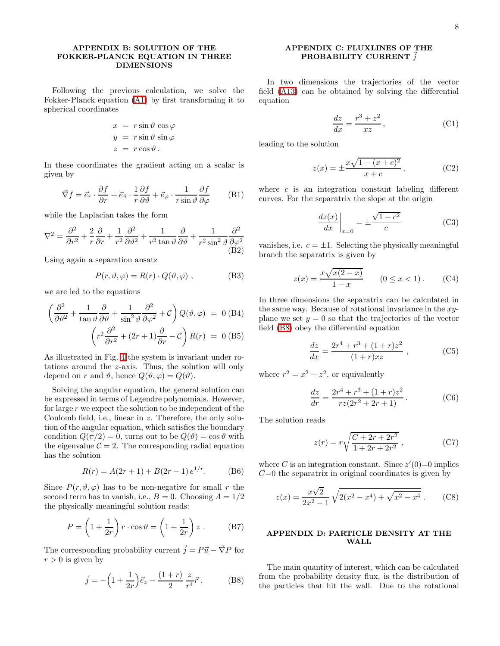# <span id="page-7-0"></span>APPENDIX B: SOLUTION OF THE FOKKER-PLANCK EQUATION IN THREE DIMENSIONS

Following the previous calculation, we solve the Fokker-Planck equation [\(A1\)](#page-6-2) by first transforming it to spherical coordinates

$$
x = r \sin \vartheta \cos \varphi
$$
  

$$
y = r \sin \vartheta \sin \varphi
$$
  

$$
z = r \cos \vartheta.
$$

In these coordinates the gradient acting on a scalar is given by

$$
\vec{\nabla}f = \vec{e}_r \cdot \frac{\partial f}{\partial r} + \vec{e}_{\vartheta} \cdot \frac{1}{r} \frac{\partial f}{\partial \vartheta} + \vec{e}_{\varphi} \cdot \frac{1}{r \sin \vartheta} \frac{\partial f}{\partial \varphi}
$$
 (B1)

while the Laplacian takes the form

$$
\nabla^2 = \frac{\partial^2}{\partial r^2} + \frac{2}{r} \frac{\partial}{\partial r} + \frac{1}{r^2} \frac{\partial^2}{\partial \vartheta^2} + \frac{1}{r^2 \tan \vartheta} \frac{\partial}{\partial \vartheta} + \frac{1}{r^2 \sin^2 \vartheta} \frac{\partial^2}{\partial \varphi^2}
$$
(B2)

Using again a separation ansatz

$$
P(r, \vartheta, \varphi) = R(r) \cdot Q(\vartheta, \varphi) , \qquad (B3)
$$

we are led to the equations

$$
\left(\frac{\partial^2}{\partial \vartheta^2} + \frac{1}{\tan \vartheta} \frac{\partial}{\partial \vartheta} + \frac{1}{\sin^2 \vartheta} \frac{\partial^2}{\partial \varphi^2} + \mathcal{C}\right) Q(\vartheta, \varphi) = 0 \text{ (B4)}
$$

$$
\left(r^2 \frac{\partial^2}{\partial r^2} + (2r+1)\frac{\partial}{\partial r} - \mathcal{C}\right) R(r) = 0 \text{ (B5)}
$$

As illustrated in Fig. [4](#page-2-0) the system is invariant under rotations around the z-axis. Thus, the solution will only depend on r and  $\vartheta$ , hence  $Q(\vartheta, \varphi) = Q(\vartheta)$ .

Solving the angular equation, the general solution can be expressed in terms of Legendre polynomials. However, for large  $r$  we expect the solution to be independent of the Coulomb field, i.e., linear in z. Therefore, the only solution of the angular equation, which satisfies the boundary condition  $Q(\pi/2) = 0$ , turns out to be  $Q(\vartheta) = \cos \vartheta$  with the eigenvalue  $\mathcal{C} = 2$ . The corresponding radial equation has the solution

$$
R(r) = A(2r + 1) + B(2r - 1) e^{1/r}.
$$
 (B6)

Since  $P(r, \vartheta, \varphi)$  has to be non-negative for small r the second term has to vanish, i.e.,  $B = 0$ . Choosing  $A = 1/2$ the physically meaningful solution reads:

$$
P = \left(1 + \frac{1}{2r}\right)r \cdot \cos \vartheta = \left(1 + \frac{1}{2r}\right)z \ . \tag{B7}
$$

<span id="page-7-3"></span>The corresponding probability current  $\vec{j} = P \vec{u} - \vec{\nabla} P$  for  $r > 0$  is given by

$$
\vec{j} = -\left(1 + \frac{1}{2r}\right)\vec{e}_z - \frac{(1+r)}{2}\frac{z}{r^4}\vec{r}.
$$
 (B8)

# APPENDIX C: FLUXLINES OF THE PROBABILITY CURRENT  $\vec{j}$

<span id="page-7-1"></span>In two dimensions the trajectories of the vector field [\(A13\)](#page-6-3) can be obtained by solving the differential equation

$$
\frac{dz}{dx} = \frac{r^3 + z^2}{xz},\tag{C1}
$$

leading to the solution

$$
z(x) = \pm \frac{x\sqrt{1 - (x + c)^2}}{x + c},
$$
 (C2)

where  $c$  is an integration constant labeling different curves. For the separatrix the slope at the origin

$$
\left. \frac{dz(x)}{dx} \right|_{x=0} = \pm \frac{\sqrt{1 - c^2}}{c} \tag{C3}
$$

vanishes, i.e.  $c = \pm 1$ . Selecting the physically meaningful branch the separatrix is given by

$$
z(x) = \frac{x\sqrt{x(2-x)}}{1-x}
$$
 (0 \le x < 1). (C4)

In three dimensions the separatrix can be calculated in the same way. Because of rotational invariance in the xyplane we set  $y = 0$  so that the trajectories of the vector field [\(B8\)](#page-7-3) obey the differential equation

$$
\frac{dz}{dx} = \frac{2r^4 + r^3 + (1+r)z^2}{(1+r)xz} ,
$$
 (C5)

where  $r^2 = x^2 + z^2$ , or equivalently

$$
\frac{dz}{dr} = \frac{2r^4 + r^3 + (1+r)z^2}{rz(2r^2 + 2r + 1)}.
$$
 (C6)

The solution reads

$$
z(r) = r\sqrt{\frac{C + 2r + 2r^2}{1 + 2r + 2r^2}} ,
$$
 (C7)

where C is an integration constant. Since  $z'(0)=0$  implies  $C=0$  the separatrix in original coordinates is given by

$$
z(x) = \frac{x\sqrt{2}}{2x^2 - 1} \sqrt{2(x^2 - x^4) + \sqrt{x^2 - x^4}}.
$$
 (C8)

# <span id="page-7-2"></span>APPENDIX D: PARTICLE DENSITY AT THE WALL

The main quantity of interest, which can be calculated from the probability density flux, is the distribution of the particles that hit the wall. Due to the rotational